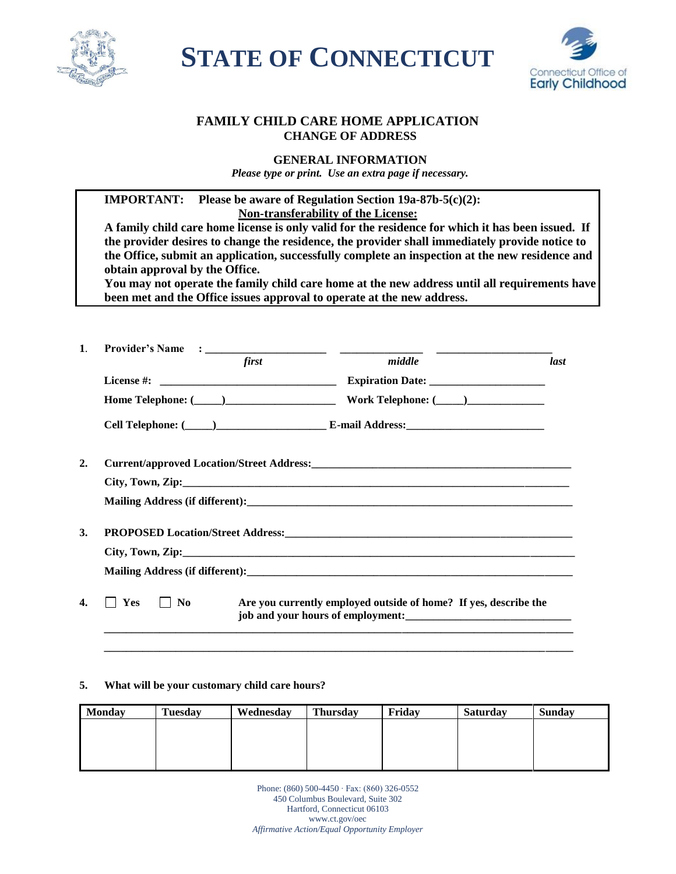

**STATE OF CONNECTICUT** 



# **FAMILY CHILD CARE HOME APPLICATION CHANGE OF ADDRESS**

## **GENERAL INFORMATION**

*Please type or print. Use an extra page if necessary.*

| been met and the Office issues approval to operate at the new address.<br>first |                    |                                                                            |
|---------------------------------------------------------------------------------|--------------------|----------------------------------------------------------------------------|
|                                                                                 |                    |                                                                            |
|                                                                                 |                    | last                                                                       |
|                                                                                 |                    |                                                                            |
|                                                                                 |                    |                                                                            |
|                                                                                 |                    |                                                                            |
|                                                                                 |                    |                                                                            |
|                                                                                 |                    |                                                                            |
|                                                                                 |                    |                                                                            |
|                                                                                 |                    |                                                                            |
|                                                                                 |                    |                                                                            |
|                                                                                 |                    |                                                                            |
| $\vert$   No                                                                    |                    |                                                                            |
|                                                                                 | $\blacksquare$ Yes | middle<br>Are you currently employed outside of home? If yes, describe the |

### **5. What will be your customary child care hours?**

| <b>Monday</b> | <b>Tuesday</b> | Wednesday | <b>Thursday</b> | Fridav | <b>Saturday</b> | <b>Sunday</b> |
|---------------|----------------|-----------|-----------------|--------|-----------------|---------------|
|               |                |           |                 |        |                 |               |
|               |                |           |                 |        |                 |               |
|               |                |           |                 |        |                 |               |

**\_\_\_\_\_\_\_\_\_\_\_\_\_\_\_\_\_\_\_\_\_\_\_\_\_\_\_\_\_\_\_\_\_\_\_\_\_\_\_\_\_\_\_\_\_\_\_\_\_\_\_\_\_\_\_\_\_\_\_\_\_\_\_\_\_\_\_\_\_\_\_\_\_\_\_\_\_\_\_\_\_\_\_\_\_**

Phone: (860) 500-4450 ∙ Fax: (860) 326-0552 450 Columbus Boulevard, Suite 302 Hartford, Connecticut 06103 www.ct.gov/oec *Affirmative Action/Equal Opportunity Employer*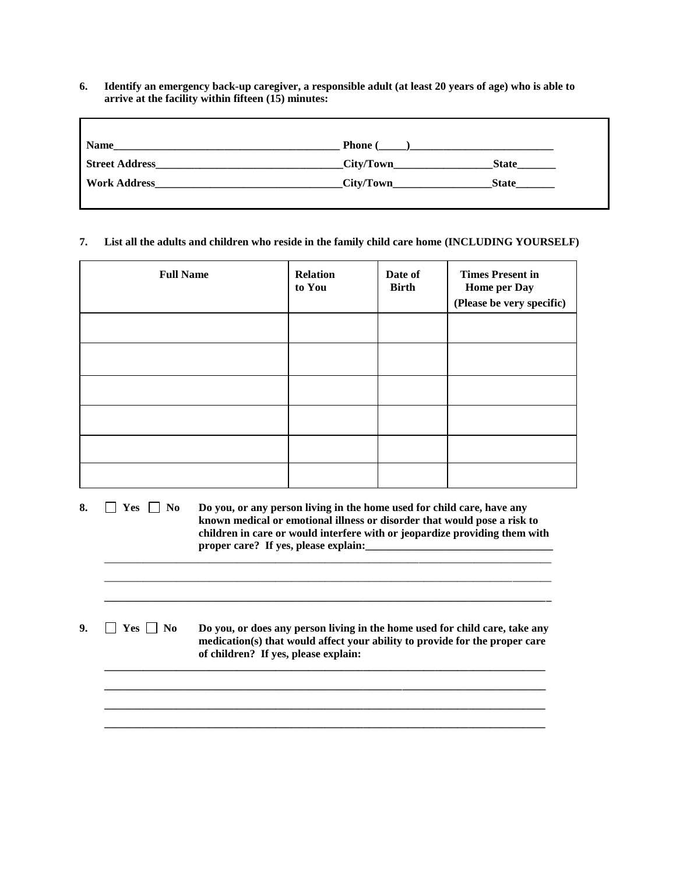**6. Identify an emergency back-up caregiver, a responsible adult (at least 20 years of age) who is able to arrive at the facility within fifteen (15) minutes:**

| Name                  | <b>Phone</b> ( |              |
|-----------------------|----------------|--------------|
| <b>Street Address</b> | City/Town      | <b>State</b> |
| <b>Work Address</b>   | City/Town      | <b>State</b> |

#### **7. List all the adults and children who reside in the family child care home (INCLUDING YOURSELF)**

| <b>Full Name</b> | <b>Relation</b><br>to You | Date of<br><b>Birth</b> | <b>Times Present in</b><br>Home per Day<br>(Please be very specific) |
|------------------|---------------------------|-------------------------|----------------------------------------------------------------------|
|                  |                           |                         |                                                                      |
|                  |                           |                         |                                                                      |
|                  |                           |                         |                                                                      |
|                  |                           |                         |                                                                      |
|                  |                           |                         |                                                                      |
|                  |                           |                         |                                                                      |

| 8.     Yes     No | Do you, or any person living in the home used for child care, have any     |
|-------------------|----------------------------------------------------------------------------|
|                   | known medical or emotional illness or disorder that would pose a risk to   |
|                   | children in care or would interfere with or jeopardize providing them with |
|                   | proper care? If yes, please explain:                                       |
|                   |                                                                            |

\_\_\_\_\_\_\_\_\_\_\_\_\_\_\_\_\_\_\_\_\_\_\_\_\_\_\_\_\_\_\_\_\_\_\_\_\_\_\_\_\_\_\_\_\_\_\_\_\_\_\_\_\_\_\_\_\_\_\_\_\_\_\_\_\_\_\_\_\_\_\_\_\_\_\_\_\_\_\_\_\_ **\_\_\_\_\_\_\_\_\_\_\_\_\_\_\_\_\_\_\_\_\_\_\_\_\_\_\_\_\_\_\_\_\_\_\_\_\_\_\_\_\_\_\_\_\_\_\_\_\_\_\_\_\_\_\_\_\_\_\_\_\_\_\_\_\_\_\_\_\_\_\_\_\_\_\_\_\_\_\_\_\_**

**9.**  $\Box$  **Yes**  $\Box$  No **Do you, or does any person living in the home used for child care, take any medication(s) that would affect your ability to provide for the proper care of children? If yes, please explain:** 

**\_\_\_\_\_\_\_\_\_\_\_\_\_\_\_\_\_\_\_\_\_\_\_\_\_\_\_\_\_\_\_\_\_\_\_\_\_\_\_\_\_\_\_\_\_\_\_\_\_\_\_\_\_\_\_\_\_\_\_\_\_\_\_\_\_\_\_\_\_\_\_\_\_\_\_\_\_\_\_\_ \_\_\_\_\_\_\_\_\_\_\_\_\_\_\_\_\_\_\_\_\_\_\_\_\_\_\_\_\_\_\_\_\_\_\_\_\_\_\_\_\_\_\_\_\_\_\_\_\_\_\_\_\_\_\_\_\_\_\_\_\_\_\_\_\_\_\_\_\_\_\_\_\_\_\_\_\_\_\_\_ \_\_\_\_\_\_\_\_\_\_\_\_\_\_\_\_\_\_\_\_\_\_\_\_\_\_\_\_\_\_\_\_\_\_\_\_\_\_\_\_\_\_\_\_\_\_\_\_\_\_\_\_\_\_\_\_\_\_\_\_\_\_\_\_\_\_\_\_\_\_\_\_\_\_\_\_\_\_\_\_ \_\_\_\_\_\_\_\_\_\_\_\_\_\_\_\_\_\_\_\_\_\_\_\_\_\_\_\_\_\_\_\_\_\_\_\_\_\_\_\_\_\_\_\_\_\_\_\_\_\_\_\_\_\_\_\_\_\_\_\_\_\_\_\_\_\_\_\_\_\_\_\_\_\_\_\_\_\_\_\_**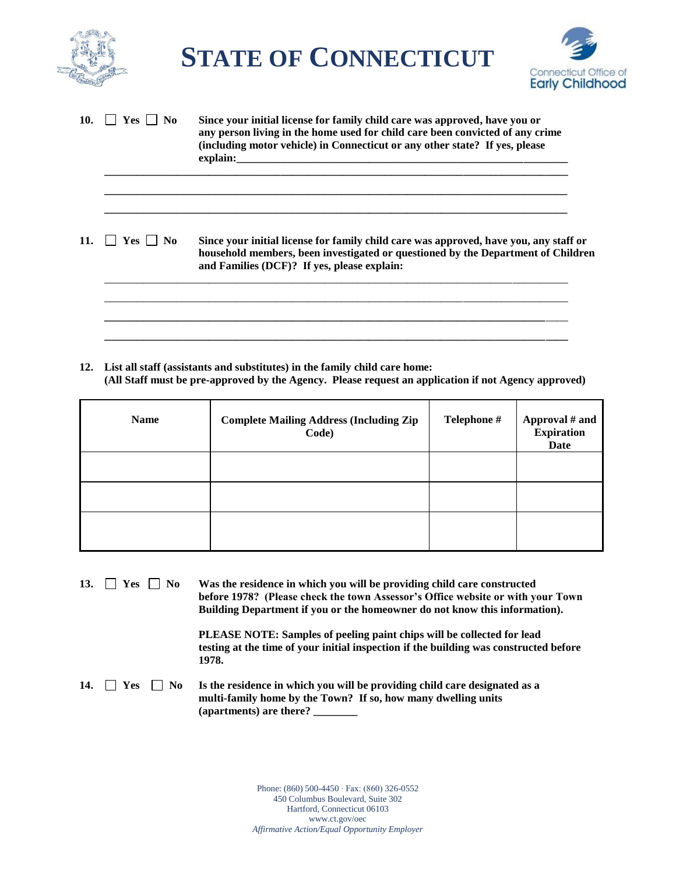

**STATE OF CONNECTICUT**



| 10. | $Yes \mid No$  | Since your initial license for family child care was approved, have you or<br>any person living in the home used for child care been convicted of any crime<br>(including motor vehicle) in Connecticut or any other state? If yes, please |
|-----|----------------|--------------------------------------------------------------------------------------------------------------------------------------------------------------------------------------------------------------------------------------------|
| 11. | $Yes \perp No$ | Since your initial license for family child care was approved, have you, any staff or<br>household members, been investigated or questioned by the Department of Children<br>and Families (DCF)? If yes, please explain:                   |
|     |                |                                                                                                                                                                                                                                            |

**12. List all staff (assistants and substitutes) in the family child care home: (All Staff must be pre-approved by the Agency. Please request an application if not Agency approved)**

| <b>Name</b> | <b>Complete Mailing Address (Including Zip</b><br>Code) | Telephone # | Approval # and<br><b>Expiration</b><br>Date |
|-------------|---------------------------------------------------------|-------------|---------------------------------------------|
|             |                                                         |             |                                             |
|             |                                                         |             |                                             |
|             |                                                         |             |                                             |

13.  $\Box$  Yes  $\Box$  No Was the residence in which you will be providing child care constructed **before 1978? (Please check the town Assessor's Office website or with your Town Building Department if you or the homeowner do not know this information).**

> **PLEASE NOTE: Samples of peeling paint chips will be collected for lead testing at the time of your initial inspection if the building was constructed before 1978.**

14.  $\Box$  **Yes**  $\Box$  No **Is the residence in which you will be providing child care designated as a multi-family home by the Town? If so, how many dwelling units (apartments) are there? \_\_\_\_\_\_\_\_**

> Phone: (860) 500-4450 ∙ Fax: (860) 326-0552 450 Columbus Boulevard, Suite 302 Hartford, Connecticut 06103 www.ct.gov/oec *Affirmative Action/Equal Opportunity Employer*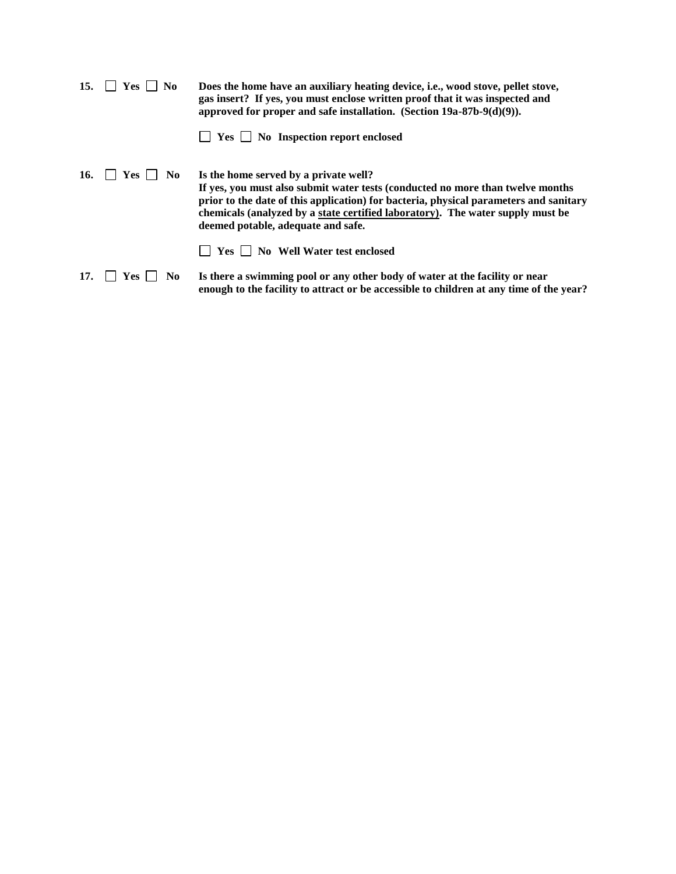| 15. | N <sub>0</sub><br><b>Yes</b> | Does the home have an auxiliary heating device, i.e., wood stove, pellet stove,<br>gas insert? If yes, you must enclose written proof that it was inspected and<br>approved for proper and safe installation. (Section $19a-87b-9(d)(9)$ ).                                                                                              |
|-----|------------------------------|------------------------------------------------------------------------------------------------------------------------------------------------------------------------------------------------------------------------------------------------------------------------------------------------------------------------------------------|
|     |                              | $\Box$ Yes $\Box$ No Inspection report enclosed                                                                                                                                                                                                                                                                                          |
| 16. | Yes.<br>No.                  | Is the home served by a private well?<br>If yes, you must also submit water tests (conducted no more than twelve months<br>prior to the date of this application) for bacteria, physical parameters and sanitary<br>chemicals (analyzed by a state certified laboratory). The water supply must be<br>deemed potable, adequate and safe. |
|     |                              | Yes     No Well Water test enclosed                                                                                                                                                                                                                                                                                                      |
| 17. | N <sub>0</sub><br>Yes -      | Is there a swimming pool or any other body of water at the facility or near<br>enough to the facility to attract or be accessible to children at any time of the year?                                                                                                                                                                   |